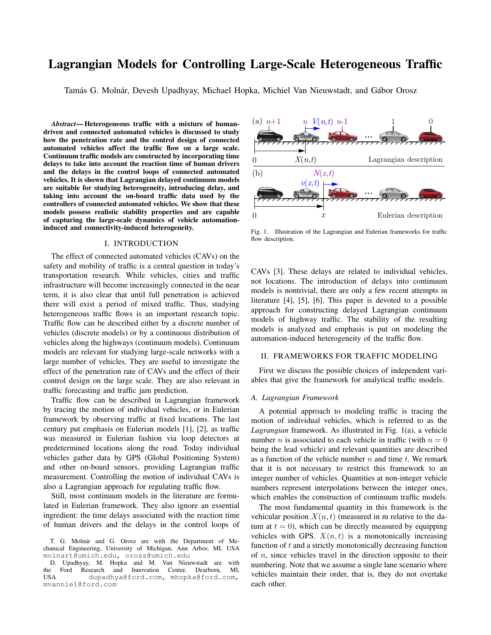# Lagrangian Models for Controlling Large-Scale Heterogeneous Traffic

Tamás G. Molnár, Devesh Upadhyay, Michael Hopka, Michiel Van Nieuwstadt, and Gábor Orosz

*Abstract*— Heterogeneous traffic with a mixture of humandriven and connected automated vehicles is discussed to study how the penetration rate and the control design of connected automated vehicles affect the traffic flow on a large scale. Continuum traffic models are constructed by incorporating time delays to take into account the reaction time of human drivers and the delays in the control loops of connected automated vehicles. It is shown that Lagrangian delayed continuum models are suitable for studying heterogeneity, introducing delay, and taking into account the on-board traffic data used by the controllers of connected automated vehicles. We show that these models possess realistic stability properties and are capable of capturing the large-scale dynamics of vehicle automationinduced and connectivity-induced heterogeneity.

#### I. INTRODUCTION

The effect of connected automated vehicles (CAVs) on the safety and mobility of traffic is a central question in today's transportation research. While vehicles, cities and traffic infrastructure will become increasingly connected in the near term, it is also clear that until full penetration is achieved there will exist a period of mixed traffic. Thus, studying heterogeneous traffic flows is an important research topic. Traffic flow can be described either by a discrete number of vehicles (discrete models) or by a continuous distribution of vehicles along the highways (continuum models). Continuum models are relevant for studying large-scale networks with a large number of vehicles. They are useful to investigate the effect of the penetration rate of CAVs and the effect of their control design on the large scale. They are also relevant in traffic forecasting and traffic jam prediction.

Traffic flow can be described in Lagrangian framework by tracing the motion of individual vehicles, or in Eulerian framework by observing traffic at fixed locations. The last century put emphasis on Eulerian models [1], [2], as traffic was measured in Eulerian fashion via loop detectors at predetermined locations along the road. Today individual vehicles gather data by GPS (Global Positioning System) and other on-board sensors, providing Lagrangian traffic measurement. Controlling the motion of individual CAVs is also a Lagrangian approach for regulating traffic flow.

Still, most continuum models in the literature are formulated in Eulerian framework. They also ignore an essential ingredient: the time delays associated with the reaction time of human drivers and the delays in the control loops of



Fig. 1. Illustration of the Lagrangian and Eulerian frameworks for traffic flow description.

CAVs [3]. These delays are related to individual vehicles, not locations. The introduction of delays into continuum models is nontrivial, there are only a few recent attempts in literature [4], [5], [6]. This paper is devoted to a possible approach for constructing delayed Lagrangian continuum models of highway traffic. The stability of the resulting models is analyzed and emphasis is put on modeling the automation-induced heterogeneity of the traffic flow.

## II. FRAMEWORKS FOR TRAFFIC MODELING

First we discuss the possible choices of independent variables that give the framework for analytical traffic models.

## *A. Lagrangian Framework*

A potential approach to modeling traffic is tracing the motion of individual vehicles, which is referred to as the *Lagrangian* framework. As illustrated in Fig. 1(a), a vehicle number *n* is associated to each vehicle in traffic (with  $n = 0$ being the lead vehicle) and relevant quantities are described as a function of the vehicle number  $n$  and time  $t$ . We remark that it is not necessary to restrict this framework to an integer number of vehicles. Quantities at non-integer vehicle numbers represent interpolations between the integer ones, which enables the construction of continuum traffic models.

The most fundamental quantity in this framework is the vehicular position  $X(n, t)$  (measured in m relative to the datum at  $t = 0$ , which can be directly measured by equipping vehicles with GPS.  $X(n, t)$  is a monotonically increasing function of  $t$  and a strictly monotonically decreasing function of  $n$ , since vehicles travel in the direction opposite to their numbering. Note that we assume a single lane scenario where vehicles maintain their order, that is, they do not overtake each other.

T. G. Molnár and G. Orosz are with the Department of Mechanical Engineering, University of Michigan, Ann Arbor, MI, USA molnart@umich.edu, orosz@umich.edu

D. Upadhyay, M. Hopka and M. Van Nieuwstadt are with the Ford Research and Innovation Center, Dearborn, MI, the Ford Research and Innovation Center, Dearborn, MI,<br>USA dupadhya@ford.com, mhopka@ford.com, dupadhya@ford.com, mhopka@ford.com, mvannie1@ford.com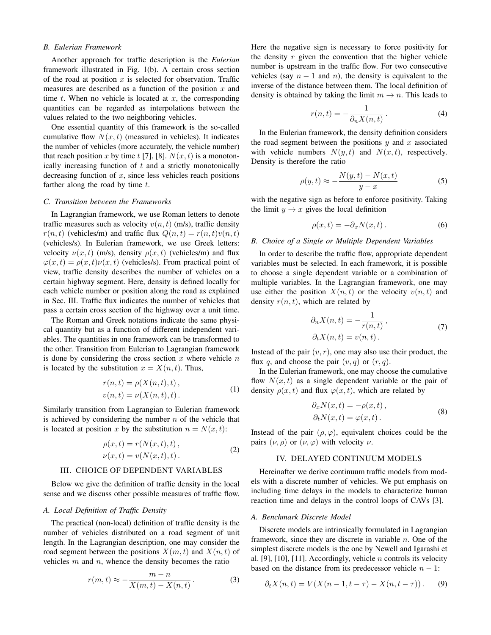## *B. Eulerian Framework*

Another approach for traffic description is the *Eulerian* framework illustrated in Fig. 1(b). A certain cross section of the road at position  $x$  is selected for observation. Traffic measures are described as a function of the position  $x$  and time  $t$ . When no vehicle is located at  $x$ , the corresponding quantities can be regarded as interpolations between the values related to the two neighboring vehicles.

One essential quantity of this framework is the so-called cumulative flow  $N(x, t)$  (measured in vehicles). It indicates the number of vehicles (more accurately, the vehicle number) that reach position x by time t [7], [8].  $N(x, t)$  is a monotonically increasing function of  $t$  and a strictly monotonically decreasing function of  $x$ , since less vehicles reach positions farther along the road by time  $t$ .

#### *C. Transition between the Frameworks*

In Lagrangian framework, we use Roman letters to denote traffic measures such as velocity  $v(n, t)$  (m/s), traffic density  $r(n, t)$  (vehicles/m) and traffic flux  $Q(n, t) = r(n, t)v(n, t)$ (vehicles/s). In Eulerian framework, we use Greek letters: velocity  $\nu(x, t)$  (m/s), density  $\rho(x, t)$  (vehicles/m) and flux  $\varphi(x, t) = \rho(x, t)\nu(x, t)$  (vehicles/s). From practical point of view, traffic density describes the number of vehicles on a certain highway segment. Here, density is defined locally for each vehicle number or position along the road as explained in Sec. III. Traffic flux indicates the number of vehicles that pass a certain cross section of the highway over a unit time.

The Roman and Greek notations indicate the same physical quantity but as a function of different independent variables. The quantities in one framework can be transformed to the other. Transition from Eulerian to Lagrangian framework is done by considering the cross section  $x$  where vehicle  $n$ is located by the substitution  $x = X(n, t)$ . Thus,

$$
r(n,t) = \rho(X(n,t),t),\n v(n,t) = \nu(X(n,t),t).
$$
\n(1)

Similarly transition from Lagrangian to Eulerian framework is achieved by considering the number  $n$  of the vehicle that is located at position x by the substitution  $n = N(x, t)$ :

$$
\rho(x,t) = r(N(x,t),t), \nu(x,t) = v(N(x,t),t).
$$
\n(2)

#### III. CHOICE OF DEPENDENT VARIABLES

Below we give the definition of traffic density in the local sense and we discuss other possible measures of traffic flow.

#### *A. Local Definition of Traffic Density*

The practical (non-local) definition of traffic density is the number of vehicles distributed on a road segment of unit length. In the Lagrangian description, one may consider the road segment between the positions  $X(m, t)$  and  $X(n, t)$  of vehicles  $m$  and  $n$ , whence the density becomes the ratio

$$
r(m,t) \approx -\frac{m-n}{X(m,t) - X(n,t)}.
$$
 (3)

Here the negative sign is necessary to force positivity for the density  $r$  given the convention that the higher vehicle number is upstream in the traffic flow. For two consecutive vehicles (say  $n - 1$  and n), the density is equivalent to the inverse of the distance between them. The local definition of density is obtained by taking the limit  $m \to n$ . This leads to

$$
r(n,t) = -\frac{1}{\partial_n X(n,t)}.
$$
 (4)

In the Eulerian framework, the density definition considers the road segment between the positions  $y$  and  $x$  associated with vehicle numbers  $N(y, t)$  and  $N(x, t)$ , respectively. Density is therefore the ratio

$$
\rho(y,t) \approx -\frac{N(y,t) - N(x,t)}{y-x}
$$
\n(5)

with the negative sign as before to enforce positivity. Taking the limit  $y \to x$  gives the local definition

$$
\rho(x,t) = -\partial_x N(x,t) \,. \tag{6}
$$

#### *B. Choice of a Single or Multiple Dependent Variables*

In order to describe the traffic flow, appropriate dependent variables must be selected. In each framework, it is possible to choose a single dependent variable or a combination of multiple variables. In the Lagrangian framework, one may use either the position  $X(n, t)$  or the velocity  $v(n, t)$  and density  $r(n, t)$ , which are related by

$$
\partial_n X(n,t) = -\frac{1}{r(n,t)},
$$
  
\n
$$
\partial_t X(n,t) = v(n,t).
$$
\n(7)

Instead of the pair  $(v, r)$ , one may also use their product, the flux q, and choose the pair  $(v, q)$  or  $(r, q)$ .

In the Eulerian framework, one may choose the cumulative flow  $N(x, t)$  as a single dependent variable or the pair of density  $\rho(x, t)$  and flux  $\varphi(x, t)$ , which are related by

$$
\partial_x N(x,t) = -\rho(x,t), \n\partial_t N(x,t) = \varphi(x,t).
$$
\n(8)

Instead of the pair  $(\rho, \varphi)$ , equivalent choices could be the pairs  $(\nu, \rho)$  or  $(\nu, \varphi)$  with velocity  $\nu$ .

#### IV. DELAYED CONTINUUM MODELS

Hereinafter we derive continuum traffic models from models with a discrete number of vehicles. We put emphasis on including time delays in the models to characterize human reaction time and delays in the control loops of CAVs [3].

## *A. Benchmark Discrete Model*

Discrete models are intrinsically formulated in Lagrangian framework, since they are discrete in variable  $n$ . One of the simplest discrete models is the one by Newell and Igarashi et al. [9], [10], [11]. Accordingly, vehicle  $n$  controls its velocity based on the distance from its predecessor vehicle  $n - 1$ :

$$
\partial_t X(n,t) = V(X(n-1,t-\tau) - X(n,t-\tau)).
$$
 (9)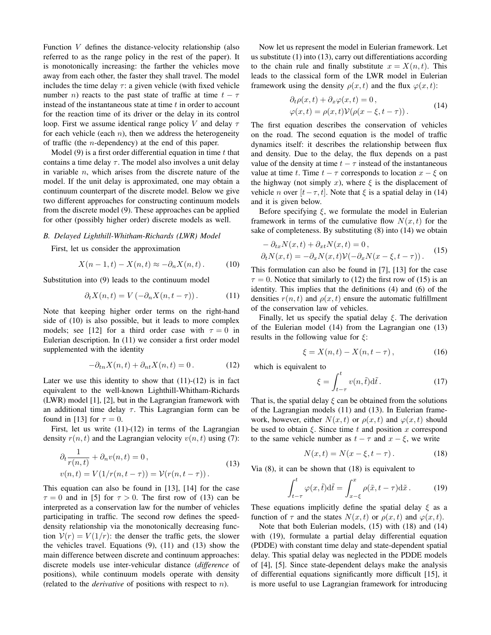Function V defines the distance-velocity relationship (also referred to as the range policy in the rest of the paper). It is monotonically increasing: the farther the vehicles move away from each other, the faster they shall travel. The model includes the time delay  $\tau$ : a given vehicle (with fixed vehicle number *n*) reacts to the past state of traffic at time  $t - \tau$ instead of the instantaneous state at time  $t$  in order to account for the reaction time of its driver or the delay in its control loop. First we assume identical range policy V and delay  $\tau$ for each vehicle (each  $n$ ), then we address the heterogeneity of traffic (the n-dependency) at the end of this paper.

Model (9) is a first order differential equation in time  $t$  that contains a time delay  $\tau$ . The model also involves a unit delay in variable  $n$ , which arises from the discrete nature of the model. If the unit delay is approximated, one may obtain a continuum counterpart of the discrete model. Below we give two different approaches for constructing continuum models from the discrete model (9). These approaches can be applied for other (possibly higher order) discrete models as well.

### *B. Delayed Lighthill-Whitham-Richards (LWR) Model*

First, let us consider the approximation

$$
X(n-1,t) - X(n,t) \approx -\partial_n X(n,t).
$$
 (10)

Substitution into (9) leads to the continuum model

$$
\partial_t X(n,t) = V\left(-\partial_n X(n,t-\tau)\right). \tag{11}
$$

Note that keeping higher order terms on the right-hand side of (10) is also possible, but it leads to more complex models; see [12] for a third order case with  $\tau = 0$  in Eulerian description. In (11) we consider a first order model supplemented with the identity

$$
-\partial_{tn}X(n,t) + \partial_{nt}X(n,t) = 0.
$$
 (12)

Later we use this identity to show that  $(11)-(12)$  is in fact equivalent to the well-known Lighthill-Whitham-Richards (LWR) model [1], [2], but in the Lagrangian framework with an additional time delay  $\tau$ . This Lagrangian form can be found in [13] for  $\tau = 0$ .

First, let us write  $(11)-(12)$  in terms of the Lagrangian density  $r(n, t)$  and the Lagrangian velocity  $v(n, t)$  using (7):

$$
\partial_t \frac{1}{r(n,t)} + \partial_n v(n,t) = 0,
$$
  
\n
$$
v(n,t) = V(1/r(n,t-\tau)) = V(r(n,t-\tau)).
$$
\n(13)

This equation can also be found in [13], [14] for the case  $\tau = 0$  and in [5] for  $\tau > 0$ . The first row of (13) can be interpreted as a conservation law for the number of vehicles participating in traffic. The second row defines the speeddensity relationship via the monotonically decreasing function  $V(r) = V(1/r)$ : the denser the traffic gets, the slower the vehicles travel. Equations (9), (11) and (13) show the main difference between discrete and continuum approaches: discrete models use inter-vehicular distance (*difference* of positions), while continuum models operate with density (related to the *derivative* of positions with respect to n).

Now let us represent the model in Eulerian framework. Let us substitute (1) into (13), carry out differentiations according to the chain rule and finally substitute  $x = X(n, t)$ . This leads to the classical form of the LWR model in Eulerian framework using the density  $\rho(x, t)$  and the flux  $\varphi(x, t)$ :

$$
\partial_t \rho(x, t) + \partial_x \varphi(x, t) = 0,
$$
  
 
$$
\varphi(x, t) = \rho(x, t) \mathcal{V}(\rho(x - \xi, t - \tau)).
$$
 (14)

The first equation describes the conservation of vehicles on the road. The second equation is the model of traffic dynamics itself: it describes the relationship between flux and density. Due to the delay, the flux depends on a past value of the density at time  $t - \tau$  instead of the instantaneous value at time t. Time  $t - \tau$  corresponds to location  $x - \xi$  on the highway (not simply x), where  $\xi$  is the displacement of vehicle *n* over  $[t-\tau, t]$ . Note that  $\xi$  is a spatial delay in (14) and it is given below.

Before specifying  $\xi$ , we formulate the model in Eulerian framework in terms of the cumulative flow  $N(x, t)$  for the sake of completeness. By substituting (8) into (14) we obtain

$$
- \partial_{tx} N(x,t) + \partial_{xt} N(x,t) = 0,
$$
  
\n
$$
\partial_t N(x,t) = -\partial_x N(x,t) \mathcal{V}(-\partial_x N(x-\xi,t-\tau)).
$$
\n(15)

This formulation can also be found in [7], [13] for the case  $\tau = 0$ . Notice that similarly to (12) the first row of (15) is an identity. This implies that the definitions (4) and (6) of the densities  $r(n, t)$  and  $\rho(x, t)$  ensure the automatic fulfillment of the conservation law of vehicles.

Finally, let us specify the spatial delay  $\xi$ . The derivation of the Eulerian model (14) from the Lagrangian one (13) results in the following value for  $\xi$ :

$$
\xi = X(n, t) - X(n, t - \tau), \tag{16}
$$

which is equivalent to

$$
\xi = \int_{t-\tau}^{t} v(n,\tilde{t}) \mathrm{d}\tilde{t} \,. \tag{17}
$$

That is, the spatial delay  $\xi$  can be obtained from the solutions of the Lagrangian models (11) and (13). In Eulerian framework, however, either  $N(x, t)$  or  $\rho(x, t)$  and  $\varphi(x, t)$  should be used to obtain  $\xi$ . Since time t and position x correspond to the same vehicle number as  $t - \tau$  and  $x - \xi$ , we write

$$
N(x,t) = N(x - \xi, t - \tau). \tag{18}
$$

Via (8), it can be shown that (18) is equivalent to

$$
\int_{t-\tau}^{t} \varphi(x,\tilde{t})d\tilde{t} = \int_{x-\xi}^{x} \rho(\tilde{x}, t-\tau)d\tilde{x}.
$$
 (19)

These equations implicitly define the spatial delay  $\xi$  as a function of  $\tau$  and the states  $N(x, t)$  or  $\rho(x, t)$  and  $\varphi(x, t)$ .

Note that both Eulerian models, (15) with (18) and (14) with (19), formulate a partial delay differential equation (PDDE) with constant time delay and state-dependent spatial delay. This spatial delay was neglected in the PDDE models of [4], [5]. Since state-dependent delays make the analysis of differential equations significantly more difficult [15], it is more useful to use Lagrangian framework for introducing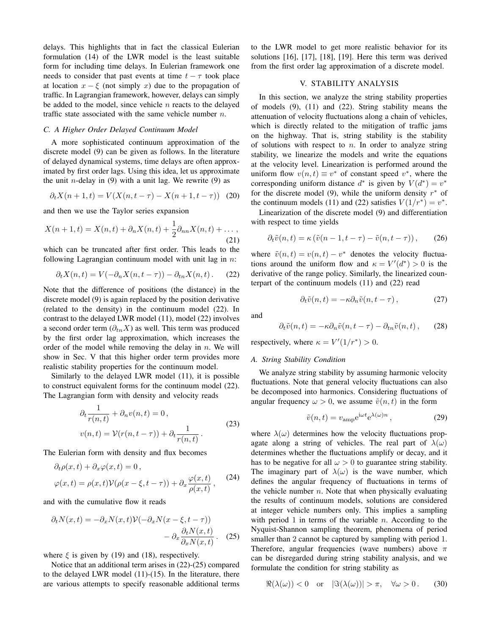delays. This highlights that in fact the classical Eulerian formulation (14) of the LWR model is the least suitable form for including time delays. In Eulerian framework one needs to consider that past events at time  $t - \tau$  took place at location  $x - \xi$  (not simply x) due to the propagation of traffic. In Lagrangian framework, however, delays can simply be added to the model, since vehicle  $n$  reacts to the delayed traffic state associated with the same vehicle number  $n$ .

#### *C. A Higher Order Delayed Continuum Model*

A more sophisticated continuum approximation of the discrete model (9) can be given as follows. In the literature of delayed dynamical systems, time delays are often approximated by first order lags. Using this idea, let us approximate the unit *n*-delay in  $(9)$  with a unit lag. We rewrite  $(9)$  as

$$
\partial_t X(n+1, t) = V(X(n, t - \tau) - X(n+1, t - \tau)) \tag{20}
$$

and then we use the Taylor series expansion

$$
X(n + 1, t) = X(n, t) + \partial_n X(n, t) + \frac{1}{2} \partial_{nn} X(n, t) + \dots,
$$
\n(21)

which can be truncated after first order. This leads to the following Lagrangian continuum model with unit lag in  $n$ :

$$
\partial_t X(n,t) = V(-\partial_n X(n,t-\tau)) - \partial_{tn} X(n,t).
$$
 (22)

Note that the difference of positions (the distance) in the discrete model (9) is again replaced by the position derivative (related to the density) in the continuum model (22). In contrast to the delayed LWR model (11), model (22) involves a second order term  $(\partial_{tn} X)$  as well. This term was produced by the first order lag approximation, which increases the order of the model while removing the delay in  $n$ . We will show in Sec. V that this higher order term provides more realistic stability properties for the continuum model.

Similarly to the delayed LWR model (11), it is possible to construct equivalent forms for the continuum model (22). The Lagrangian form with density and velocity reads

$$
\partial_t \frac{1}{r(n,t)} + \partial_n v(n,t) = 0,
$$
  

$$
v(n,t) = \mathcal{V}(r(n,t-\tau)) + \partial_t \frac{1}{r(n,t)}.
$$
 (23)

The Eulerian form with density and flux becomes

$$
\partial_t \rho(x,t) + \partial_x \varphi(x,t) = 0,
$$
  

$$
\varphi(x,t) = \rho(x,t) \mathcal{V}(\rho(x-\xi, t-\tau)) + \partial_x \frac{\varphi(x,t)}{\rho(x,t)},
$$
 (24)

and with the cumulative flow it reads

$$
\partial_t N(x,t) = -\partial_x N(x,t) \mathcal{V}(-\partial_x N(x-\xi, t-\tau)) - \partial_x \frac{\partial_t N(x,t)}{\partial_x N(x,t)}.
$$
 (25)

where  $\xi$  is given by (19) and (18), respectively.

Notice that an additional term arises in (22)-(25) compared to the delayed LWR model (11)-(15). In the literature, there are various attempts to specify reasonable additional terms to the LWR model to get more realistic behavior for its solutions [16], [17], [18], [19]. Here this term was derived from the first order lag approximation of a discrete model.

# V. STABILITY ANALYSIS

In this section, we analyze the string stability properties of models (9), (11) and (22). String stability means the attenuation of velocity fluctuations along a chain of vehicles, which is directly related to the mitigation of traffic jams on the highway. That is, string stability is the stability of solutions with respect to  $n$ . In order to analyze string stability, we linearize the models and write the equations at the velocity level. Linearization is performed around the uniform flow  $v(n, t) \equiv v^*$  of constant speed  $v^*$ , where the corresponding uniform distance  $d^*$  is given by  $V(d^*) = v^*$ for the discrete model (9), while the uniform density  $r^*$  of the continuum models (11) and (22) satisfies  $V(1/r^*) = v^*$ .

Linearization of the discrete model (9) and differentiation with respect to time yields

$$
\partial_t \tilde{v}(n,t) = \kappa \left( \tilde{v}(n-1,t-\tau) - \tilde{v}(n,t-\tau) \right), \qquad (26)
$$

where  $\tilde{v}(n, t) = v(n, t) - v^*$  denotes the velocity fluctuations around the uniform flow and  $\kappa = V'(d^*) > 0$  is the derivative of the range policy. Similarly, the linearized counterpart of the continuum models (11) and (22) read

$$
\partial_t \tilde{v}(n,t) = -\kappa \partial_n \tilde{v}(n,t-\tau) \,, \tag{27}
$$

and

$$
\partial_t \tilde{v}(n,t) = -\kappa \partial_n \tilde{v}(n,t-\tau) - \partial_{tn} \tilde{v}(n,t) ,\qquad (28)
$$

respectively, where  $\kappa = V'(1/r^*) > 0$ .

#### *A. String Stability Condition*

We analyze string stability by assuming harmonic velocity fluctuations. Note that general velocity fluctuations can also be decomposed into harmonics. Considering fluctuations of angular frequency  $\omega > 0$ , we assume  $\tilde{v}(n, t)$  in the form

$$
\tilde{v}(n,t) = v_{\rm amp} e^{i\omega t} e^{\lambda(\omega)n},\qquad(29)
$$

where  $\lambda(\omega)$  determines how the velocity fluctuations propagate along a string of vehicles. The real part of  $\lambda(\omega)$ determines whether the fluctuations amplify or decay, and it has to be negative for all  $\omega > 0$  to guarantee string stability. The imaginary part of  $\lambda(\omega)$  is the wave number, which defines the angular frequency of fluctuations in terms of the vehicle number  $n$ . Note that when physically evaluating the results of continuum models, solutions are considered at integer vehicle numbers only. This implies a sampling with period 1 in terms of the variable  $n$ . According to the Nyquist-Shannon sampling theorem, phenomena of period smaller than 2 cannot be captured by sampling with period 1. Therefore, angular frequencies (wave numbers) above  $\pi$ can be disregarded during string stability analysis, and we formulate the condition for string stability as

$$
\Re(\lambda(\omega)) < 0 \quad \text{or} \quad |\Im(\lambda(\omega))| > \pi, \quad \forall \omega > 0. \tag{30}
$$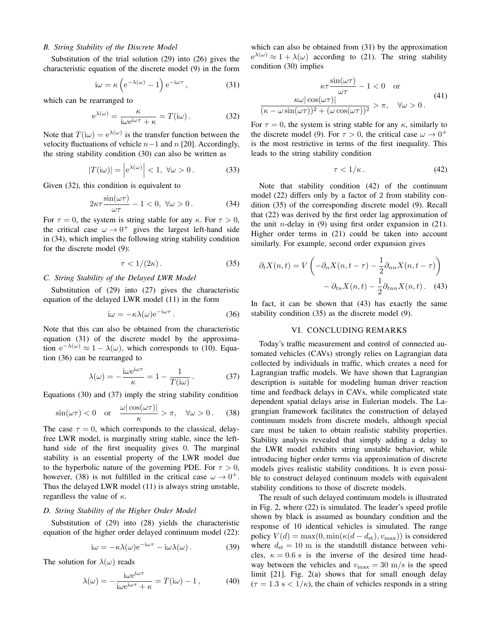### *B. String Stability of the Discrete Model*

Substitution of the trial solution (29) into (26) gives the characteristic equation of the discrete model (9) in the form

$$
i\omega = \kappa \left( e^{-\lambda(\omega)} - 1 \right) e^{-i\omega \tau}, \qquad (31)
$$

which can be rearranged to

$$
e^{\lambda(\omega)} = \frac{\kappa}{i\omega e^{i\omega\tau} + \kappa} = T(i\omega).
$$
 (32)

Note that  $T(i\omega) = e^{\lambda(\omega)}$  is the transfer function between the velocity fluctuations of vehicle  $n-1$  and  $n$  [20]. Accordingly, the string stability condition (30) can also be written as

$$
|T(i\omega)| = |e^{\lambda(\omega)}| < 1, \ \forall \omega > 0.
$$
 (33)

Given (32), this condition is equivalent to

$$
2\kappa\tau \frac{\sin(\omega\tau)}{\omega\tau} - 1 < 0, \ \forall \omega > 0. \tag{34}
$$

For  $\tau = 0$ , the system is string stable for any  $\kappa$ . For  $\tau > 0$ , the critical case  $\omega \rightarrow 0^+$  gives the largest left-hand side in (34), which implies the following string stability condition for the discrete model (9):

$$
\tau < 1/(2\kappa). \tag{35}
$$

## *C. String Stability of the Delayed LWR Model*

Substitution of (29) into (27) gives the characteristic equation of the delayed LWR model (11) in the form

$$
i\omega = -\kappa \lambda(\omega) e^{-i\omega \tau}.
$$
 (36)

Note that this can also be obtained from the characteristic equation (31) of the discrete model by the approximation  $e^{-\lambda(\omega)} \approx 1 - \lambda(\omega)$ , which corresponds to (10). Equation (36) can be rearranged to

$$
\lambda(\omega) = -\frac{\mathrm{i}\omega \mathrm{e}^{\mathrm{i}\omega \tau}}{\kappa} = 1 - \frac{1}{T(\mathrm{i}\omega)}.
$$
 (37)

Equations (30) and (37) imply the string stability condition

$$
\sin(\omega \tau) < 0 \quad \text{or} \quad \frac{\omega |\cos(\omega \tau)|}{\kappa} > \pi, \quad \forall \omega > 0. \tag{38}
$$

The case  $\tau = 0$ , which corresponds to the classical, delayfree LWR model, is marginally string stable, since the lefthand side of the first inequality gives 0. The marginal stability is an essential property of the LWR model due to the hyperbolic nature of the governing PDE. For  $\tau > 0$ , however, (38) is not fulfilled in the critical case  $\omega \rightarrow 0^+$ . Thus the delayed LWR model (11) is always string unstable, regardless the value of  $\kappa$ .

#### *D. String Stability of the Higher Order Model*

Substitution of (29) into (28) yields the characteristic equation of the higher order delayed continuum model (22):

$$
i\omega = -\kappa\lambda(\omega)e^{-i\omega\tau} - i\omega\lambda(\omega).
$$
 (39)

The solution for  $\lambda(\omega)$  reads

$$
\lambda(\omega) = -\frac{i\omega e^{i\omega \tau}}{i\omega e^{i\omega \tau} + \kappa} = T(i\omega) - 1, \qquad (40)
$$

which can also be obtained from (31) by the approximation  $e^{\lambda(\omega)} \approx 1 + \lambda(\omega)$  according to (21). The string stability condition (30) implies

$$
\kappa \tau \frac{\sin(\omega \tau)}{\omega \tau} - 1 < 0 \quad \text{or}
$$
\n
$$
\frac{\kappa \omega |\cos(\omega \tau)|}{(\kappa - \omega \sin(\omega \tau))^2 + (\omega \cos(\omega \tau))^2} > \pi, \quad \forall \omega > 0.
$$
\n
$$
(41)
$$

For  $\tau = 0$ , the system is string stable for any  $\kappa$ , similarly to the discrete model (9). For  $\tau > 0$ , the critical case  $\omega \to 0^+$ is the most restrictive in terms of the first inequality. This leads to the string stability condition

$$
\tau < 1/\kappa. \tag{42}
$$

Note that stability condition (42) of the continuum model (22) differs only by a factor of 2 from stability condition (35) of the corresponding discrete model (9). Recall that (22) was derived by the first order lag approximation of the unit *n*-delay in (9) using first order expansion in  $(21)$ . Higher order terms in (21) could be taken into account similarly. For example, second order expansion gives

$$
\partial_t X(n,t) = V\left(-\partial_n X(n,t-\tau) - \frac{1}{2}\partial_{nn} X(n,t-\tau)\right) - \partial_{tn} X(n,t) - \frac{1}{2}\partial_{tnn} X(n,t).
$$
 (43)

In fact, it can be shown that (43) has exactly the same stability condition (35) as the discrete model (9).

## VI. CONCLUDING REMARKS

Today's traffic measurement and control of connected automated vehicles (CAVs) strongly relies on Lagrangian data collected by individuals in traffic, which creates a need for Lagrangian traffic models. We have shown that Lagrangian description is suitable for modeling human driver reaction time and feedback delays in CAVs, while complicated state dependent spatial delays arise in Eulerian models. The Lagrangian framework facilitates the construction of delayed continuum models from discrete models, although special care must be taken to obtain realistic stability properties. Stability analysis revealed that simply adding a delay to the LWR model exhibits string unstable behavior, while introducing higher order terms via approximation of discrete models gives realistic stability conditions. It is even possible to construct delayed continuum models with equivalent stability conditions to those of discrete models.

The result of such delayed continuum models is illustrated in Fig. 2, where (22) is simulated. The leader's speed profile shown by black is assumed as boundary condition and the response of 10 identical vehicles is simulated. The range policy  $V(d) = \max(0, \min(\kappa(d - d_{\text{st}}), v_{\text{max}}))$  is considered where  $d_{st} = 10$  m is the standstill distance between vehicles,  $\kappa = 0.6$  s is the inverse of the desired time headway between the vehicles and  $v_{\text{max}} = 30 \text{ m/s}$  is the speed limit [21]. Fig. 2(a) shows that for small enough delay  $(\tau = 1.3 \text{ s} < 1/\kappa)$ , the chain of vehicles responds in a string